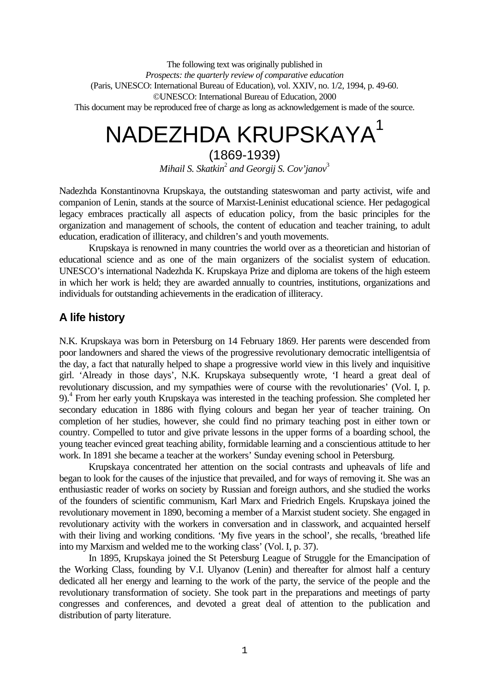The following text was originally published in *Prospects: the quarterly review of comparative education* (Paris, UNESCO: International Bureau of Education), vol. XXIV, no. 1/2, 1994, p. 49-60. ©UNESCO: International Bureau of Education, 2000 This document may be reproduced free of charge as long as acknowledgement is made of the source.

# NADEZHDA KRUPSKAYA<sup>1</sup>

(1869-1939) *Mihail S. Skatkin*<sup>2</sup>  *and Georgij S. Cov'janov*<sup>3</sup>

Nadezhda Konstantinovna Krupskaya, the outstanding stateswoman and party activist, wife and companion of Lenin, stands at the source of Marxist-Leninist educational science. Her pedagogical legacy embraces practically all aspects of education policy, from the basic principles for the organization and management of schools, the content of education and teacher training, to adult education, eradication of illiteracy, and children's and youth movements.

Krupskaya is renowned in many countries the world over as a theoretician and historian of educational science and as one of the main organizers of the socialist system of education. UNESCO's international Nadezhda K. Krupskaya Prize and diploma are tokens of the high esteem in which her work is held; they are awarded annually to countries, institutions, organizations and individuals for outstanding achievements in the eradication of illiteracy.

# **A life history**

N.K. Krupskaya was born in Petersburg on 14 February 1869. Her parents were descended from poor landowners and shared the views of the progressive revolutionary democratic intelligentsia of the day, a fact that naturally helped to shape a progressive world view in this lively and inquisitive girl. 'Already in those days', N.K. Krupskaya subsequently wrote, 'I heard a great deal of revolutionary discussion, and my sympathies were of course with the revolutionaries' (Vol. I, p. 9).<sup>4</sup> From her early youth Krupskaya was interested in the teaching profession. She completed her secondary education in 1886 with flying colours and began her year of teacher training. On completion of her studies, however, she could find no primary teaching post in either town or country. Compelled to tutor and give private lessons in the upper forms of a boarding school, the young teacher evinced great teaching ability, formidable learning and a conscientious attitude to her work. In 1891 she became a teacher at the workers' Sunday evening school in Petersburg.

Krupskaya concentrated her attention on the social contrasts and upheavals of life and began to look for the causes of the injustice that prevailed, and for ways of removing it. She was an enthusiastic reader of works on society by Russian and foreign authors, and she studied the works of the founders of scientific communism, Karl Marx and Friedrich Engels. Krupskaya joined the revolutionary movement in 1890, becoming a member of a Marxist student society. She engaged in revolutionary activity with the workers in conversation and in classwork, and acquainted herself with their living and working conditions. 'My five years in the school', she recalls, 'breathed life into my Marxism and welded me to the working class' (Vol. I, p. 37).

In 1895, Krupskaya joined the St Petersburg League of Struggle for the Emancipation of the Working Class, founding by V.I. Ulyanov (Lenin) and thereafter for almost half a century dedicated all her energy and learning to the work of the party, the service of the people and the revolutionary transformation of society. She took part in the preparations and meetings of party congresses and conferences, and devoted a great deal of attention to the publication and distribution of party literature.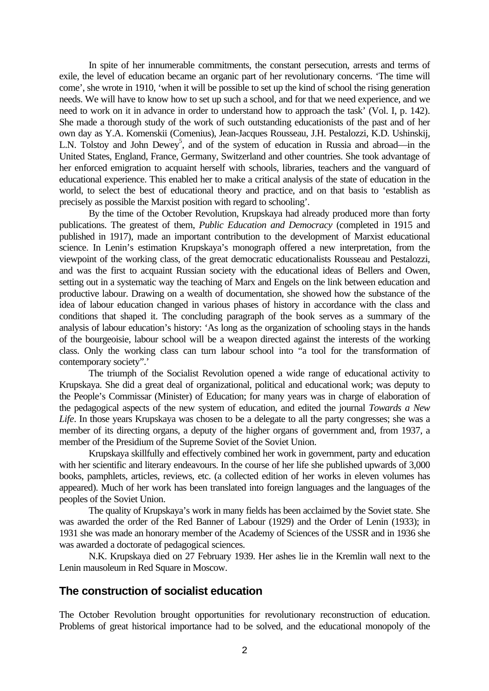In spite of her innumerable commitments, the constant persecution, arrests and terms of exile, the level of education became an organic part of her revolutionary concerns. 'The time will come', she wrote in 1910, 'when it will be possible to set up the kind of school the rising generation needs. We will have to know how to set up such a school, and for that we need experience, and we need to work on it in advance in order to understand how to approach the task' (Vol. I, p. 142). She made a thorough study of the work of such outstanding educationists of the past and of her own day as Y.A. Komenskii (Comenius), Jean-Jacques Rousseau, J.H. Pestalozzi, K.D. Ushinskij, L.N. Tolstoy and John Dewey<sup>5</sup>, and of the system of education in Russia and abroad—in the United States, England, France, Germany, Switzerland and other countries. She took advantage of her enforced emigration to acquaint herself with schools, libraries, teachers and the vanguard of educational experience. This enabled her to make a critical analysis of the state of education in the world, to select the best of educational theory and practice, and on that basis to 'establish as precisely as possible the Marxist position with regard to schooling'.

By the time of the October Revolution, Krupskaya had already produced more than forty publications. The greatest of them, *Public Education and Democracy* (completed in 1915 and published in 1917), made an important contribution to the development of Marxist educational science. In Lenin's estimation Krupskaya's monograph offered a new interpretation, from the viewpoint of the working class, of the great democratic educationalists Rousseau and Pestalozzi, and was the first to acquaint Russian society with the educational ideas of Bellers and Owen, setting out in a systematic way the teaching of Marx and Engels on the link between education and productive labour. Drawing on a wealth of documentation, she showed how the substance of the idea of labour education changed in various phases of history in accordance with the class and conditions that shaped it. The concluding paragraph of the book serves as a summary of the analysis of labour education's history: 'As long as the organization of schooling stays in the hands of the bourgeoisie, labour school will be a weapon directed against the interests of the working class. Only the working class can turn labour school into "a tool for the transformation of contemporary society".'

The triumph of the Socialist Revolution opened a wide range of educational activity to Krupskaya. She did a great deal of organizational, political and educational work; was deputy to the People's Commissar (Minister) of Education; for many years was in charge of elaboration of the pedagogical aspects of the new system of education, and edited the journal *Towards a New Life*. In those years Krupskaya was chosen to be a delegate to all the party congresses; she was a member of its directing organs, a deputy of the higher organs of government and, from 1937, a member of the Presidium of the Supreme Soviet of the Soviet Union.

Krupskaya skillfully and effectively combined her work in government, party and education with her scientific and literary endeavours. In the course of her life she published upwards of 3,000 books, pamphlets, articles, reviews, etc. (a collected edition of her works in eleven volumes has appeared). Much of her work has been translated into foreign languages and the languages of the peoples of the Soviet Union.

The quality of Krupskaya's work in many fields has been acclaimed by the Soviet state. She was awarded the order of the Red Banner of Labour (1929) and the Order of Lenin (1933); in 1931 she was made an honorary member of the Academy of Sciences of the USSR and in 1936 she was awarded a doctorate of pedagogical sciences.

N.K. Krupskaya died on 27 February 1939. Her ashes lie in the Kremlin wall next to the Lenin mausoleum in Red Square in Moscow.

## **The construction of socialist education**

The October Revolution brought opportunities for revolutionary reconstruction of education. Problems of great historical importance had to be solved, and the educational monopoly of the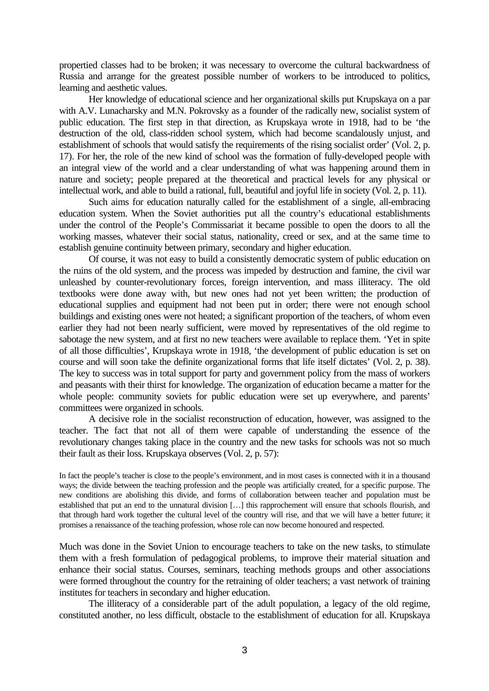propertied classes had to be broken; it was necessary to overcome the cultural backwardness of Russia and arrange for the greatest possible number of workers to be introduced to politics, learning and aesthetic values.

Her knowledge of educational science and her organizational skills put Krupskaya on a par with A.V. Lunacharsky and M.N. Pokrovsky as a founder of the radically new, socialist system of public education. The first step in that direction, as Krupskaya wrote in 1918, had to be 'the destruction of the old, class-ridden school system, which had become scandalously unjust, and establishment of schools that would satisfy the requirements of the rising socialist order' (Vol. 2, p. 17). For her, the role of the new kind of school was the formation of fully-developed people with an integral view of the world and a clear understanding of what was happening around them in nature and society; people prepared at the theoretical and practical levels for any physical or intellectual work, and able to build a rational, full, beautiful and joyful life in society (Vol. 2, p. 11).

Such aims for education naturally called for the establishment of a single, all-embracing education system. When the Soviet authorities put all the country's educational establishments under the control of the People's Commissariat it became possible to open the doors to all the working masses, whatever their social status, nationality, creed or sex, and at the same time to establish genuine continuity between primary, secondary and higher education.

Of course, it was not easy to build a consistently democratic system of public education on the ruins of the old system, and the process was impeded by destruction and famine, the civil war unleashed by counter-revolutionary forces, foreign intervention, and mass illiteracy. The old textbooks were done away with, but new ones had not yet been written; the production of educational supplies and equipment had not been put in order; there were not enough school buildings and existing ones were not heated; a significant proportion of the teachers, of whom even earlier they had not been nearly sufficient, were moved by representatives of the old regime to sabotage the new system, and at first no new teachers were available to replace them. 'Yet in spite of all those difficulties', Krupskaya wrote in 1918, 'the development of public education is set on course and will soon take the definite organizational forms that life itself dictates' (Vol. 2, p. 38). The key to success was in total support for party and government policy from the mass of workers and peasants with their thirst for knowledge. The organization of education became a matter for the whole people: community soviets for public education were set up everywhere, and parents' committees were organized in schools.

A decisive role in the socialist reconstruction of education, however, was assigned to the teacher. The fact that not all of them were capable of understanding the essence of the revolutionary changes taking place in the country and the new tasks for schools was not so much their fault as their loss. Krupskaya observes (Vol. 2, p. 57):

In fact the people's teacher is close to the people's environment, and in most cases is connected with it in a thousand ways; the divide between the teaching profession and the people was artificially created, for a specific purpose. The new conditions are abolishing this divide, and forms of collaboration between teacher and population must be established that put an end to the unnatural division […] this rapprochement will ensure that schools flourish, and that through hard work together the cultural level of the country will rise, and that we will have a better future; it promises a renaissance of the teaching profession, whose role can now become honoured and respected.

Much was done in the Soviet Union to encourage teachers to take on the new tasks, to stimulate them with a fresh formulation of pedagogical problems, to improve their material situation and enhance their social status. Courses, seminars, teaching methods groups and other associations were formed throughout the country for the retraining of older teachers; a vast network of training institutes for teachers in secondary and higher education.

The illiteracy of a considerable part of the adult population, a legacy of the old regime, constituted another, no less difficult, obstacle to the establishment of education for all. Krupskaya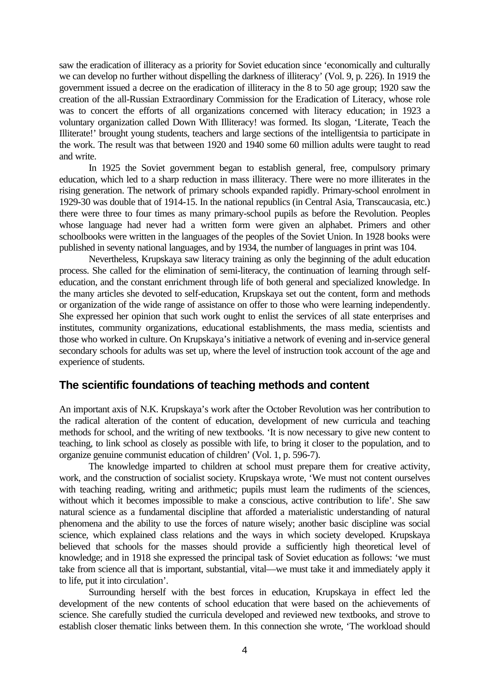saw the eradication of illiteracy as a priority for Soviet education since 'economically and culturally we can develop no further without dispelling the darkness of illiteracy' (Vol. 9, p. 226). In 1919 the government issued a decree on the eradication of illiteracy in the 8 to 50 age group; 1920 saw the creation of the all-Russian Extraordinary Commission for the Eradication of Literacy, whose role was to concert the efforts of all organizations concerned with literacy education; in 1923 a voluntary organization called Down With Illiteracy! was formed. Its slogan, 'Literate, Teach the Illiterate!' brought young students, teachers and large sections of the intelligentsia to participate in the work. The result was that between 1920 and 1940 some 60 million adults were taught to read and write.

In 1925 the Soviet government began to establish general, free, compulsory primary education, which led to a sharp reduction in mass illiteracy. There were no more illiterates in the rising generation. The network of primary schools expanded rapidly. Primary-school enrolment in 1929-30 was double that of 1914-15. In the national republics (in Central Asia, Transcaucasia, etc.) there were three to four times as many primary-school pupils as before the Revolution. Peoples whose language had never had a written form were given an alphabet. Primers and other schoolbooks were written in the languages of the peoples of the Soviet Union. In 1928 books were published in seventy national languages, and by 1934, the number of languages in print was 104.

Nevertheless, Krupskaya saw literacy training as only the beginning of the adult education process. She called for the elimination of semi-literacy, the continuation of learning through selfeducation, and the constant enrichment through life of both general and specialized knowledge. In the many articles she devoted to self-education, Krupskaya set out the content, form and methods or organization of the wide range of assistance on offer to those who were learning independently. She expressed her opinion that such work ought to enlist the services of all state enterprises and institutes, community organizations, educational establishments, the mass media, scientists and those who worked in culture. On Krupskaya's initiative a network of evening and in-service general secondary schools for adults was set up, where the level of instruction took account of the age and experience of students.

## **The scientific foundations of teaching methods and content**

An important axis of N.K. Krupskaya's work after the October Revolution was her contribution to the radical alteration of the content of education, development of new curricula and teaching methods for school, and the writing of new textbooks. 'It is now necessary to give new content to teaching, to link school as closely as possible with life, to bring it closer to the population, and to organize genuine communist education of children' (Vol. 1, p. 596-7).

The knowledge imparted to children at school must prepare them for creative activity, work, and the construction of socialist society. Krupskaya wrote, 'We must not content ourselves with teaching reading, writing and arithmetic; pupils must learn the rudiments of the sciences, without which it becomes impossible to make a conscious, active contribution to life'. She saw natural science as a fundamental discipline that afforded a materialistic understanding of natural phenomena and the ability to use the forces of nature wisely; another basic discipline was social science, which explained class relations and the ways in which society developed. Krupskaya believed that schools for the masses should provide a sufficiently high theoretical level of knowledge; and in 1918 she expressed the principal task of Soviet education as follows: 'we must take from science all that is important, substantial, vital—we must take it and immediately apply it to life, put it into circulation'.

Surrounding herself with the best forces in education, Krupskaya in effect led the development of the new contents of school education that were based on the achievements of science. She carefully studied the curricula developed and reviewed new textbooks, and strove to establish closer thematic links between them. In this connection she wrote, 'The workload should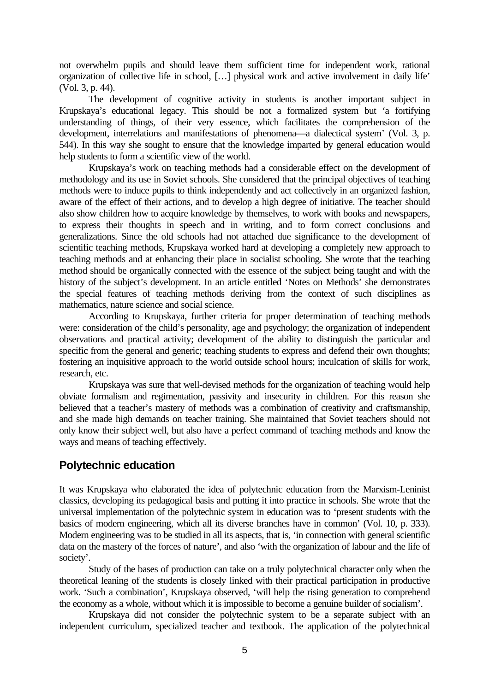not overwhelm pupils and should leave them sufficient time for independent work, rational organization of collective life in school, […] physical work and active involvement in daily life' (Vol. 3, p. 44).

The development of cognitive activity in students is another important subject in Krupskaya's educational legacy. This should be not a formalized system but 'a fortifying understanding of things, of their very essence, which facilitates the comprehension of the development, interrelations and manifestations of phenomena—a dialectical system' (Vol. 3, p. 544). In this way she sought to ensure that the knowledge imparted by general education would help students to form a scientific view of the world.

Krupskaya's work on teaching methods had a considerable effect on the development of methodology and its use in Soviet schools. She considered that the principal objectives of teaching methods were to induce pupils to think independently and act collectively in an organized fashion, aware of the effect of their actions, and to develop a high degree of initiative. The teacher should also show children how to acquire knowledge by themselves, to work with books and newspapers, to express their thoughts in speech and in writing, and to form correct conclusions and generalizations. Since the old schools had not attached due significance to the development of scientific teaching methods, Krupskaya worked hard at developing a completely new approach to teaching methods and at enhancing their place in socialist schooling. She wrote that the teaching method should be organically connected with the essence of the subject being taught and with the history of the subject's development. In an article entitled 'Notes on Methods' she demonstrates the special features of teaching methods deriving from the context of such disciplines as mathematics, nature science and social science.

According to Krupskaya, further criteria for proper determination of teaching methods were: consideration of the child's personality, age and psychology; the organization of independent observations and practical activity; development of the ability to distinguish the particular and specific from the general and generic; teaching students to express and defend their own thoughts; fostering an inquisitive approach to the world outside school hours; inculcation of skills for work, research, etc.

Krupskaya was sure that well-devised methods for the organization of teaching would help obviate formalism and regimentation, passivity and insecurity in children. For this reason she believed that a teacher's mastery of methods was a combination of creativity and craftsmanship, and she made high demands on teacher training. She maintained that Soviet teachers should not only know their subject well, but also have a perfect command of teaching methods and know the ways and means of teaching effectively.

# **Polytechnic education**

It was Krupskaya who elaborated the idea of polytechnic education from the Marxism-Leninist classics, developing its pedagogical basis and putting it into practice in schools. She wrote that the universal implementation of the polytechnic system in education was to 'present students with the basics of modern engineering, which all its diverse branches have in common' (Vol. 10, p. 333). Modern engineering was to be studied in all its aspects, that is, 'in connection with general scientific data on the mastery of the forces of nature', and also 'with the organization of labour and the life of society'.

Study of the bases of production can take on a truly polytechnical character only when the theoretical leaning of the students is closely linked with their practical participation in productive work. 'Such a combination', Krupskaya observed, 'will help the rising generation to comprehend the economy as a whole, without which it is impossible to become a genuine builder of socialism'.

Krupskaya did not consider the polytechnic system to be a separate subject with an independent curriculum, specialized teacher and textbook. The application of the polytechnical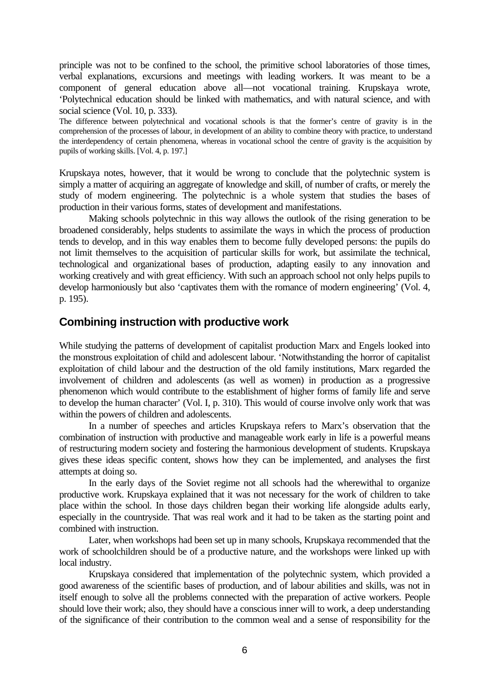principle was not to be confined to the school, the primitive school laboratories of those times, verbal explanations, excursions and meetings with leading workers. It was meant to be a component of general education above all—not vocational training. Krupskaya wrote, 'Polytechnical education should be linked with mathematics, and with natural science, and with social science (Vol. 10, p. 333).

The difference between polytechnical and vocational schools is that the former's centre of gravity is in the comprehension of the processes of labour, in development of an ability to combine theory with practice, to understand the interdependency of certain phenomena, whereas in vocational school the centre of gravity is the acquisition by pupils of working skills. [Vol. 4, p. 197.]

Krupskaya notes, however, that it would be wrong to conclude that the polytechnic system is simply a matter of acquiring an aggregate of knowledge and skill, of number of crafts, or merely the study of modern engineering. The polytechnic is a whole system that studies the bases of production in their various forms, states of development and manifestations.

Making schools polytechnic in this way allows the outlook of the rising generation to be broadened considerably, helps students to assimilate the ways in which the process of production tends to develop, and in this way enables them to become fully developed persons: the pupils do not limit themselves to the acquisition of particular skills for work, but assimilate the technical, technological and organizational bases of production, adapting easily to any innovation and working creatively and with great efficiency. With such an approach school not only helps pupils to develop harmoniously but also 'captivates them with the romance of modern engineering' (Vol. 4, p. 195).

## **Combining instruction with productive work**

While studying the patterns of development of capitalist production Marx and Engels looked into the monstrous exploitation of child and adolescent labour. 'Notwithstanding the horror of capitalist exploitation of child labour and the destruction of the old family institutions, Marx regarded the involvement of children and adolescents (as well as women) in production as a progressive phenomenon which would contribute to the establishment of higher forms of family life and serve to develop the human character' (Vol. I, p. 310). This would of course involve only work that was within the powers of children and adolescents.

In a number of speeches and articles Krupskaya refers to Marx's observation that the combination of instruction with productive and manageable work early in life is a powerful means of restructuring modern society and fostering the harmonious development of students. Krupskaya gives these ideas specific content, shows how they can be implemented, and analyses the first attempts at doing so.

In the early days of the Soviet regime not all schools had the wherewithal to organize productive work. Krupskaya explained that it was not necessary for the work of children to take place within the school. In those days children began their working life alongside adults early, especially in the countryside. That was real work and it had to be taken as the starting point and combined with instruction.

Later, when workshops had been set up in many schools, Krupskaya recommended that the work of schoolchildren should be of a productive nature, and the workshops were linked up with local industry.

Krupskaya considered that implementation of the polytechnic system, which provided a good awareness of the scientific bases of production, and of labour abilities and skills, was not in itself enough to solve all the problems connected with the preparation of active workers. People should love their work; also, they should have a conscious inner will to work, a deep understanding of the significance of their contribution to the common weal and a sense of responsibility for the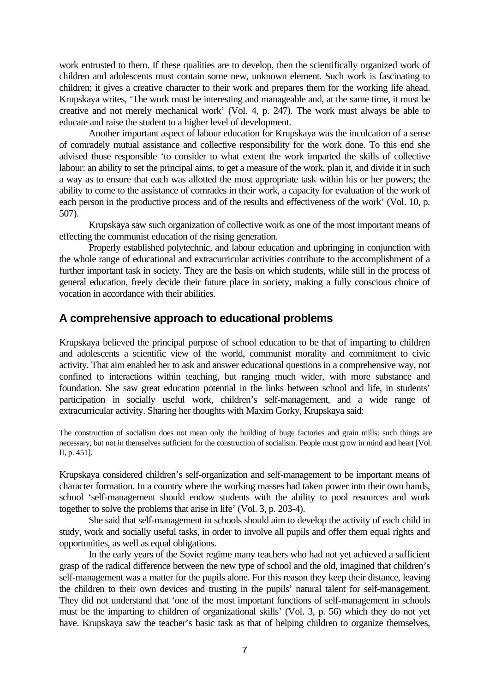work entrusted to them. If these qualities are to develop, then the scientifically organized work of children and adolescents must contain some new, unknown element. Such work is fascinating to children; it gives a creative character to their work and prepares them for the working life ahead. Krupskaya writes, 'The work must be interesting and manageable and, at the same time, it must be creative and not merely mechanical work' (Vol. 4, p. 247). The work must always be able to educate and raise the student to a higher level of development.

Another important aspect of labour education for Krupskaya was the inculcation of a sense of comradely mutual assistance and collective responsibility for the work done. To this end she advised those responsible 'to consider to what extent the work imparted the skills of collective labour: an ability to set the principal aims, to get a measure of the work, plan it, and divide it in such a way as to ensure that each was allotted the most appropriate task within his or her powers; the ability to come to the assistance of comrades in their work, a capacity for evaluation of the work of each person in the productive process and of the results and effectiveness of the work' (Vol. 10, p. 507).

Krupskaya saw such organization of collective work as one of the most important means of effecting the communist education of the rising generation.

Properly established polytechnic, and labour education and upbringing in conjunction with the whole range of educational and extracurricular activities contribute to the accomplishment of a further important task in society. They are the basis on which students, while still in the process of general education, freely decide their future place in society, making a fully conscious choice of vocation in accordance with their abilities.

## **A comprehensive approach to educational problems**

Krupskaya believed the principal purpose of school education to be that of imparting to children and adolescents a scientific view of the world, communist morality and commitment to civic activity. That aim enabled her to ask and answer educational questions in a comprehensive way, not confined to interactions within teaching, but ranging much wider, with more substance and foundation. She saw great education potential in the links between school and life, in students' participation in socially useful work, children's self-management, and a wide range of extracurricular activity. Sharing her thoughts with Maxim Gorky, Krupskaya said:

The construction of socialism does not mean only the building of huge factories and grain mills: such things are necessary, but not in themselves sufficient for the construction of socialism. People must grow in mind and heart [Vol. II, p. 451].

Krupskaya considered children's self-organization and self-management to be important means of character formation. In a country where the working masses had taken power into their own hands, school 'self-management should endow students with the ability to pool resources and work together to solve the problems that arise in life' (Vol. 3, p. 203-4).

She said that self-management in schools should aim to develop the activity of each child in study, work and socially useful tasks, in order to involve all pupils and offer them equal rights and opportunities, as well as equal obligations.

In the early years of the Soviet regime many teachers who had not yet achieved a sufficient grasp of the radical difference between the new type of school and the old, imagined that children's self-management was a matter for the pupils alone. For this reason they keep their distance, leaving the children to their own devices and trusting in the pupils' natural talent for self-management. They did not understand that 'one of the most important functions of self-management in schools must be the imparting to children of organizational skills' (Vol. 3, p. 56) which they do not yet have. Krupskaya saw the teacher's basic task as that of helping children to organize themselves,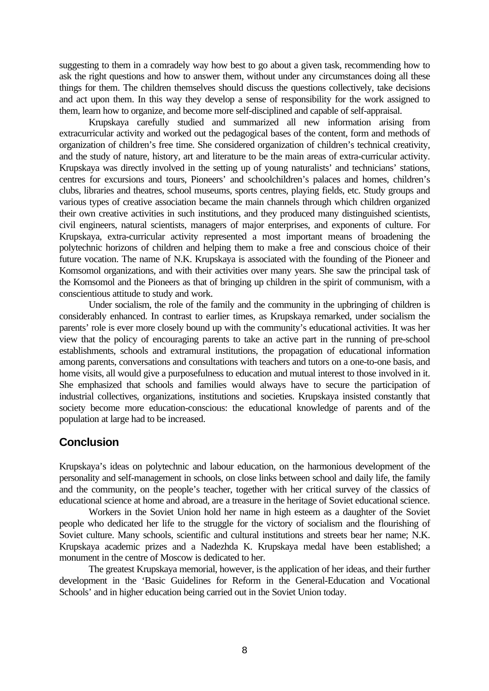suggesting to them in a comradely way how best to go about a given task, recommending how to ask the right questions and how to answer them, without under any circumstances doing all these things for them. The children themselves should discuss the questions collectively, take decisions and act upon them. In this way they develop a sense of responsibility for the work assigned to them, learn how to organize, and become more self-disciplined and capable of self-appraisal.

Krupskaya carefully studied and summarized all new information arising from extracurricular activity and worked out the pedagogical bases of the content, form and methods of organization of children's free time. She considered organization of children's technical creativity, and the study of nature, history, art and literature to be the main areas of extra-curricular activity. Krupskaya was directly involved in the setting up of young naturalists' and technicians' stations, centres for excursions and tours, Pioneers' and schoolchildren's palaces and homes, children's clubs, libraries and theatres, school museums, sports centres, playing fields, etc. Study groups and various types of creative association became the main channels through which children organized their own creative activities in such institutions, and they produced many distinguished scientists, civil engineers, natural scientists, managers of major enterprises, and exponents of culture. For Krupskaya, extra-curricular activity represented a most important means of broadening the polytechnic horizons of children and helping them to make a free and conscious choice of their future vocation. The name of N.K. Krupskaya is associated with the founding of the Pioneer and Komsomol organizations, and with their activities over many years. She saw the principal task of the Komsomol and the Pioneers as that of bringing up children in the spirit of communism, with a conscientious attitude to study and work.

Under socialism, the role of the family and the community in the upbringing of children is considerably enhanced. In contrast to earlier times, as Krupskaya remarked, under socialism the parents' role is ever more closely bound up with the community's educational activities. It was her view that the policy of encouraging parents to take an active part in the running of pre-school establishments, schools and extramural institutions, the propagation of educational information among parents, conversations and consultations with teachers and tutors on a one-to-one basis, and home visits, all would give a purposefulness to education and mutual interest to those involved in it. She emphasized that schools and families would always have to secure the participation of industrial collectives, organizations, institutions and societies. Krupskaya insisted constantly that society become more education-conscious: the educational knowledge of parents and of the population at large had to be increased.

# **Conclusion**

Krupskaya's ideas on polytechnic and labour education, on the harmonious development of the personality and self-management in schools, on close links between school and daily life, the family and the community, on the people's teacher, together with her critical survey of the classics of educational science at home and abroad, are a treasure in the heritage of Soviet educational science.

Workers in the Soviet Union hold her name in high esteem as a daughter of the Soviet people who dedicated her life to the struggle for the victory of socialism and the flourishing of Soviet culture. Many schools, scientific and cultural institutions and streets bear her name; N.K. Krupskaya academic prizes and a Nadezhda K. Krupskaya medal have been established; a monument in the centre of Moscow is dedicated to her.

The greatest Krupskaya memorial, however, is the application of her ideas, and their further development in the 'Basic Guidelines for Reform in the General-Education and Vocational Schools' and in higher education being carried out in the Soviet Union today.